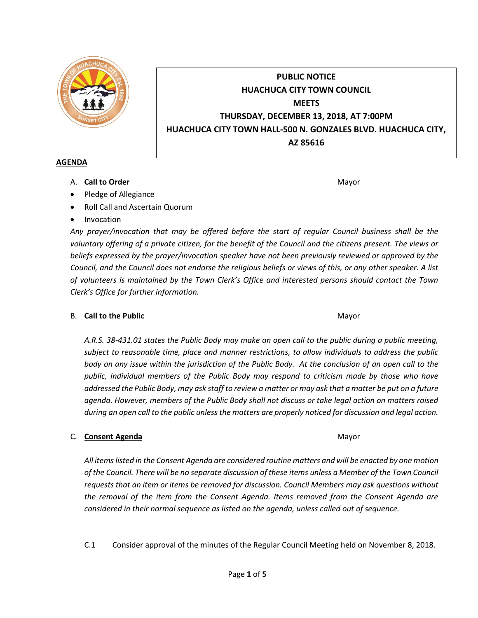

# **PUBLIC NOTICE HUACHUCA CITY TOWN COUNCIL MEETS THURSDAY, DECEMBER 13, 2018, AT 7:00PM HUACHUCA CITY TOWN HALL-500 N. GONZALES BLVD. HUACHUCA CITY, AZ 85616**

#### **AGENDA**

A. **Call to Order** Mayor **Mayor** Mayor **Mayor** Mayor **Mayor** 

- Pledge of Allegiance
- Roll Call and Ascertain Quorum
- Invocation

*Any prayer/invocation that may be offered before the start of regular Council business shall be the voluntary offering of a private citizen, for the benefit of the Council and the citizens present. The views or beliefs expressed by the prayer/invocation speaker have not been previously reviewed or approved by the Council, and the Council does not endorse the religious beliefs or views of this, or any other speaker. A list of volunteers is maintained by the Town Clerk's Office and interested persons should contact the Town Clerk's Office for further information.*

## B. **Call to the Public** Mayor **Mayor** Mayor **Mayor** Mayor

*A.R.S. 38-431.01 states the Public Body may make an open call to the public during a public meeting, subject to reasonable time, place and manner restrictions, to allow individuals to address the public body on any issue within the jurisdiction of the Public Body. At the conclusion of an open call to the public, individual members of the Public Body may respond to criticism made by those who have addressed the Public Body, may ask staff to review a matter or may ask that a matter be put on a future agenda. However, members of the Public Body shall not discuss or take legal action on matters raised during an open call to the public unless the matters are properly noticed for discussion and legal action.*

## C. **Consent Agenda** Mayor **C. Consent Agenda** Mayor **Mayor**

*All items listed in the Consent Agenda are considered routine matters and will be enacted by one motion of the Council. There will be no separate discussion of these items unless a Member of the Town Council requests that an item or items be removed for discussion. Council Members may ask questions without the removal of the item from the Consent Agenda. Items removed from the Consent Agenda are considered in their normal sequence as listed on the agenda, unless called out of sequence.*

C.1 Consider approval of the minutes of the Regular Council Meeting held on November 8, 2018.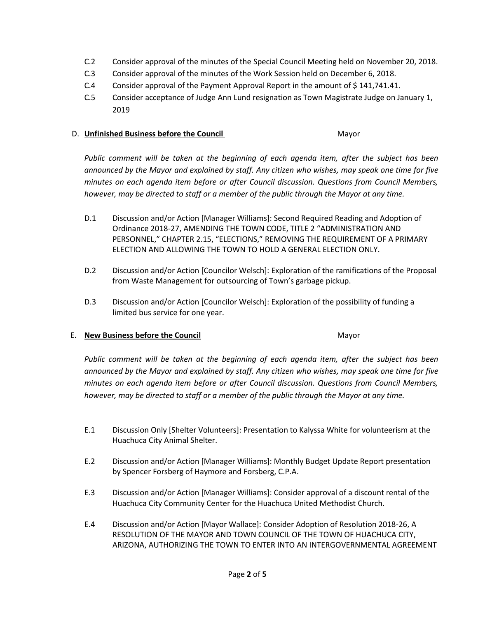- C.2 Consider approval of the minutes of the Special Council Meeting held on November 20, 2018.
- C.3 Consider approval of the minutes of the Work Session held on December 6, 2018.
- C.4 Consider approval of the Payment Approval Report in the amount of \$141,741.41.
- C.5 Consider acceptance of Judge Ann Lund resignation as Town Magistrate Judge on January 1, 2019

#### D. **Unfinished Business before the Council** Mayor

*Public comment will be taken at the beginning of each agenda item, after the subject has been announced by the Mayor and explained by staff. Any citizen who wishes, may speak one time for five minutes on each agenda item before or after Council discussion. Questions from Council Members, however, may be directed to staff or a member of the public through the Mayor at any time.*

- D.1 Discussion and/or Action [Manager Williams]: Second Required Reading and Adoption of Ordinance 2018-27, AMENDING THE TOWN CODE, TITLE 2 "ADMINISTRATION AND PERSONNEL," CHAPTER 2.15, "ELECTIONS," REMOVING THE REQUIREMENT OF A PRIMARY ELECTION AND ALLOWING THE TOWN TO HOLD A GENERAL ELECTION ONLY.
- D.2 Discussion and/or Action [Councilor Welsch]: Exploration of the ramifications of the Proposal from Waste Management for outsourcing of Town's garbage pickup.
- D.3 Discussion and/or Action [Councilor Welsch]: Exploration of the possibility of funding a limited bus service for one year.

## E. **New Business before the Council** Mayor

*Public comment will be taken at the beginning of each agenda item, after the subject has been announced by the Mayor and explained by staff. Any citizen who wishes, may speak one time for five minutes on each agenda item before or after Council discussion. Questions from Council Members, however, may be directed to staff or a member of the public through the Mayor at any time.*

- E.1 Discussion Only [Shelter Volunteers]: Presentation to Kalyssa White for volunteerism at the Huachuca City Animal Shelter.
- E.2 Discussion and/or Action [Manager Williams]: Monthly Budget Update Report presentation by Spencer Forsberg of Haymore and Forsberg, C.P.A.
- E.3 Discussion and/or Action [Manager Williams]: Consider approval of a discount rental of the Huachuca City Community Center for the Huachuca United Methodist Church.
- E.4 Discussion and/or Action [Mayor Wallace]: Consider Adoption of Resolution 2018-26, A RESOLUTION OF THE MAYOR AND TOWN COUNCIL OF THE TOWN OF HUACHUCA CITY, ARIZONA, AUTHORIZING THE TOWN TO ENTER INTO AN INTERGOVERNMENTAL AGREEMENT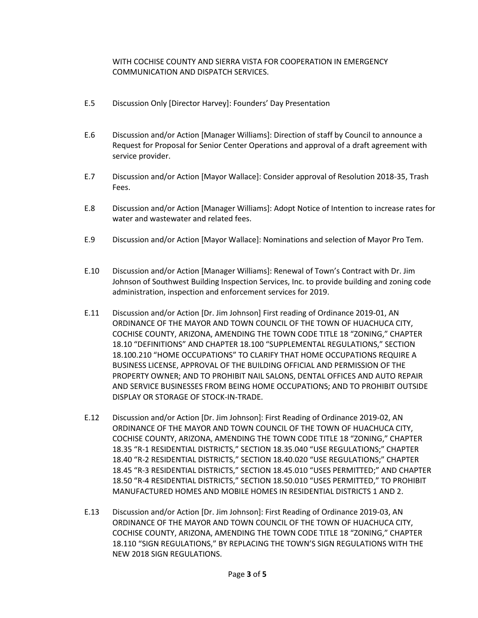## WITH COCHISE COUNTY AND SIERRA VISTA FOR COOPERATION IN EMERGENCY COMMUNICATION AND DISPATCH SERVICES.

- E.5 Discussion Only [Director Harvey]: Founders' Day Presentation
- E.6 Discussion and/or Action [Manager Williams]: Direction of staff by Council to announce a Request for Proposal for Senior Center Operations and approval of a draft agreement with service provider.
- E.7 Discussion and/or Action [Mayor Wallace]: Consider approval of Resolution 2018-35, Trash Fees.
- E.8 Discussion and/or Action [Manager Williams]: Adopt Notice of Intention to increase rates for water and wastewater and related fees.
- E.9 Discussion and/or Action [Mayor Wallace]: Nominations and selection of Mayor Pro Tem.
- E.10 Discussion and/or Action [Manager Williams]: Renewal of Town's Contract with Dr. Jim Johnson of Southwest Building Inspection Services, Inc. to provide building and zoning code administration, inspection and enforcement services for 2019.
- E.11 Discussion and/or Action [Dr. Jim Johnson] First reading of Ordinance 2019-01, AN ORDINANCE OF THE MAYOR AND TOWN COUNCIL OF THE TOWN OF HUACHUCA CITY, COCHISE COUNTY, ARIZONA, AMENDING THE TOWN CODE TITLE 18 "ZONING," CHAPTER 18.10 "DEFINITIONS" AND CHAPTER 18.100 "SUPPLEMENTAL REGULATIONS," SECTION 18.100.210 "HOME OCCUPATIONS" TO CLARIFY THAT HOME OCCUPATIONS REQUIRE A BUSINESS LICENSE, APPROVAL OF THE BUILDING OFFICIAL AND PERMISSION OF THE PROPERTY OWNER; AND TO PROHIBIT NAIL SALONS, DENTAL OFFICES AND AUTO REPAIR AND SERVICE BUSINESSES FROM BEING HOME OCCUPATIONS; AND TO PROHIBIT OUTSIDE DISPLAY OR STORAGE OF STOCK-IN-TRADE.
- E.12 Discussion and/or Action [Dr. Jim Johnson]: First Reading of Ordinance 2019-02, AN ORDINANCE OF THE MAYOR AND TOWN COUNCIL OF THE TOWN OF HUACHUCA CITY, COCHISE COUNTY, ARIZONA, AMENDING THE TOWN CODE TITLE 18 "ZONING," CHAPTER 18.35 "R-1 RESIDENTIAL DISTRICTS," SECTION 18.35.040 "USE REGULATIONS;" CHAPTER 18.40 "R-2 RESIDENTIAL DISTRICTS," SECTION 18.40.020 "USE REGULATIONS;" CHAPTER 18.45 "R-3 RESIDENTIAL DISTRICTS," SECTION 18.45.010 "USES PERMITTED;" AND CHAPTER 18.50 "R-4 RESIDENTIAL DISTRICTS," SECTION 18.50.010 "USES PERMITTED," TO PROHIBIT MANUFACTURED HOMES AND MOBILE HOMES IN RESIDENTIAL DISTRICTS 1 AND 2.
- E.13 Discussion and/or Action [Dr. Jim Johnson]: First Reading of Ordinance 2019-03, AN ORDINANCE OF THE MAYOR AND TOWN COUNCIL OF THE TOWN OF HUACHUCA CITY, COCHISE COUNTY, ARIZONA, AMENDING THE TOWN CODE TITLE 18 "ZONING," CHAPTER 18.110 "SIGN REGULATIONS," BY REPLACING THE TOWN'S SIGN REGULATIONS WITH THE NEW 2018 SIGN REGULATIONS.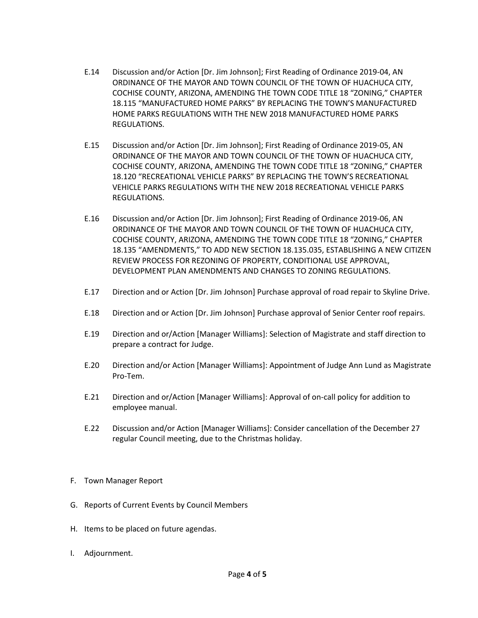- E.14 Discussion and/or Action [Dr. Jim Johnson]; First Reading of Ordinance 2019-04, AN ORDINANCE OF THE MAYOR AND TOWN COUNCIL OF THE TOWN OF HUACHUCA CITY, COCHISE COUNTY, ARIZONA, AMENDING THE TOWN CODE TITLE 18 "ZONING," CHAPTER 18.115 "MANUFACTURED HOME PARKS" BY REPLACING THE TOWN'S MANUFACTURED HOME PARKS REGULATIONS WITH THE NEW 2018 MANUFACTURED HOME PARKS REGULATIONS.
- E.15 Discussion and/or Action [Dr. Jim Johnson]; First Reading of Ordinance 2019-05, AN ORDINANCE OF THE MAYOR AND TOWN COUNCIL OF THE TOWN OF HUACHUCA CITY, COCHISE COUNTY, ARIZONA, AMENDING THE TOWN CODE TITLE 18 "ZONING," CHAPTER 18.120 "RECREATIONAL VEHICLE PARKS" BY REPLACING THE TOWN'S RECREATIONAL VEHICLE PARKS REGULATIONS WITH THE NEW 2018 RECREATIONAL VEHICLE PARKS REGULATIONS.
- E.16 Discussion and/or Action [Dr. Jim Johnson]; First Reading of Ordinance 2019-06, AN ORDINANCE OF THE MAYOR AND TOWN COUNCIL OF THE TOWN OF HUACHUCA CITY, COCHISE COUNTY, ARIZONA, AMENDING THE TOWN CODE TITLE 18 "ZONING," CHAPTER 18.135 "AMENDMENTS," TO ADD NEW SECTION 18.135.035, ESTABLISHING A NEW CITIZEN REVIEW PROCESS FOR REZONING OF PROPERTY, CONDITIONAL USE APPROVAL, DEVELOPMENT PLAN AMENDMENTS AND CHANGES TO ZONING REGULATIONS.
- E.17 Direction and or Action [Dr. Jim Johnson] Purchase approval of road repair to Skyline Drive.
- E.18 Direction and or Action [Dr. Jim Johnson] Purchase approval of Senior Center roof repairs.
- E.19 Direction and or/Action [Manager Williams]: Selection of Magistrate and staff direction to prepare a contract for Judge.
- E.20 Direction and/or Action [Manager Williams]: Appointment of Judge Ann Lund as Magistrate Pro-Tem.
- E.21 Direction and or/Action [Manager Williams]: Approval of on-call policy for addition to employee manual.
- E.22 Discussion and/or Action [Manager Williams]: Consider cancellation of the December 27 regular Council meeting, due to the Christmas holiday.
- F. Town Manager Report
- G. Reports of Current Events by Council Members
- H. Items to be placed on future agendas.
- I. Adjournment.